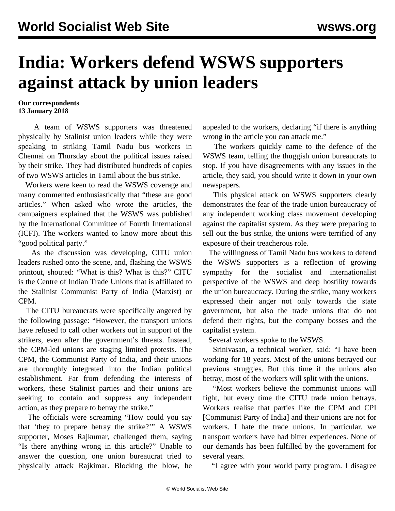## **India: Workers defend WSWS supporters against attack by union leaders**

## **Our correspondents 13 January 2018**

 A team of WSWS supporters was threatened physically by Stalinist union leaders while they were speaking to striking Tamil Nadu bus workers in Chennai on Thursday about the political issues raised by their strike. They had distributed hundreds of copies of two WSWS articles in Tamil about the bus strike.

 Workers were keen to read the WSWS coverage and many commented enthusiastically that "these are good articles." When asked who wrote the articles, the campaigners explained that the WSWS was published by the International Committee of Fourth International (ICFI). The workers wanted to know more about this "good political party."

 As the discussion was developing, CITU union leaders rushed onto the scene, and, flashing the WSWS printout, shouted: "What is this? What is this?" CITU is the Centre of Indian Trade Unions that is affiliated to the Stalinist Communist Party of India (Marxist) or CPM.

 The CITU bureaucrats were specifically angered by the following passage: "However, the transport unions have refused to call other workers out in support of the strikers, even after the government's threats. Instead, the CPM-led unions are staging limited protests. The CPM, the Communist Party of India, and their unions are thoroughly integrated into the Indian political establishment. Far from defending the interests of workers, these Stalinist parties and their unions are seeking to contain and suppress any independent action, as they prepare to betray the strike."

 The officials were screaming "How could you say that 'they to prepare betray the strike?'" A WSWS supporter, Moses Rajkumar, challenged them, saying "Is there anything wrong in this article?" Unable to answer the question, one union bureaucrat tried to physically attack Rajkimar. Blocking the blow, he appealed to the workers, declaring "if there is anything wrong in the article you can attack me."

 The workers quickly came to the defence of the WSWS team, telling the thuggish union bureaucrats to stop. If you have disagreements with any issues in the article, they said, you should write it down in your own newspapers.

 This physical attack on WSWS supporters clearly demonstrates the fear of the trade union bureaucracy of any independent working class movement developing against the capitalist system. As they were preparing to sell out the bus strike, the unions were terrified of any exposure of their treacherous role.

 The willingness of Tamil Nadu bus workers to defend the WSWS supporters is a reflection of growing sympathy for the socialist and internationalist perspective of the WSWS and deep hostility towards the union bureaucracy. During the strike, many workers expressed their anger not only towards the state government, but also the trade unions that do not defend their rights, but the company bosses and the capitalist system.

Several workers spoke to the WSWS.

 Srinivasan, a technical worker, said: "I have been working for 18 years. Most of the unions betrayed our previous struggles. But this time if the unions also betray, most of the workers will split with the unions.

 "Most workers believe the communist unions will fight, but every time the CITU trade union betrays. Workers realise that parties like the CPM and CPI [Communist Party of India] and their unions are not for workers. I hate the trade unions. In particular, we transport workers have had bitter experiences. None of our demands has been fulfilled by the government for several years.

"I agree with your world party program. I disagree